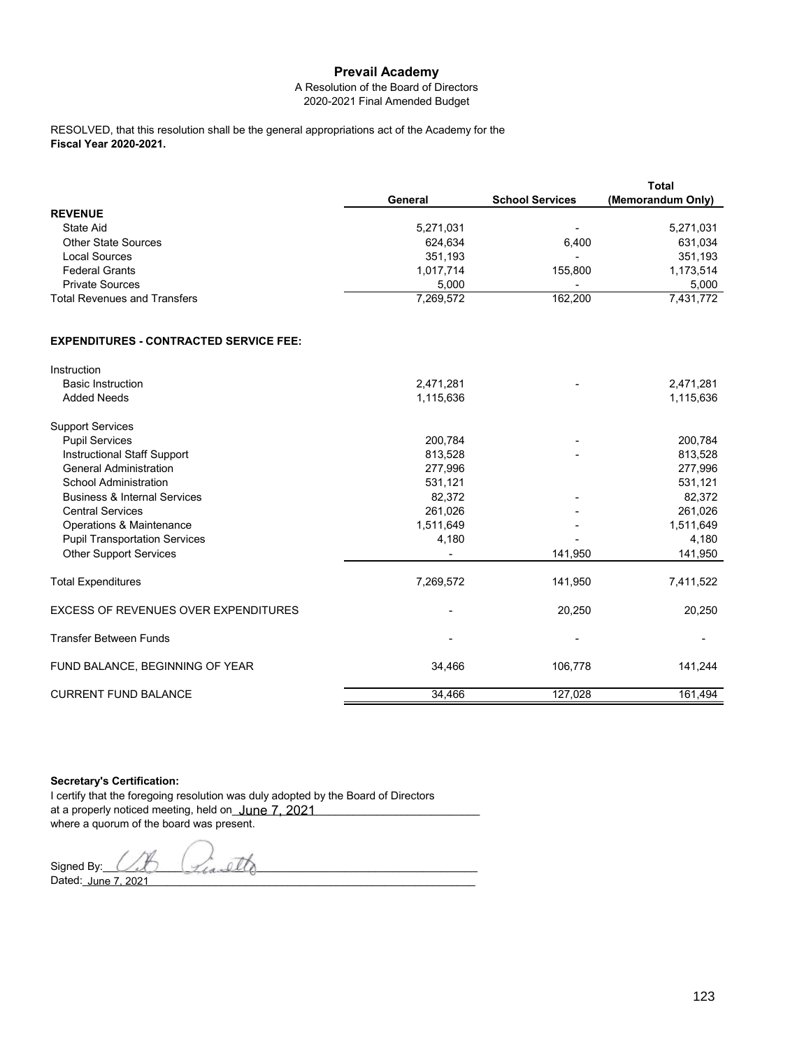# **Prevail Academy**

### A Resolution of the Board of Directors 2020-2021 Final Amended Budget

**Fiscal Year 2020-2021.** RESOLVED, that this resolution shall be the general appropriations act of the Academy for the

|                                     |           |                        | Total             |
|-------------------------------------|-----------|------------------------|-------------------|
|                                     | General   | <b>School Services</b> | (Memorandum Only) |
| <b>REVENUE</b>                      |           |                        |                   |
| State Aid                           | 5,271,031 |                        | 5,271,031         |
| <b>Other State Sources</b>          | 624,634   | 6.400                  | 631,034           |
| Local Sources                       | 351,193   |                        | 351,193           |
| <b>Federal Grants</b>               | 1,017,714 | 155.800                | 1,173,514         |
| <b>Private Sources</b>              | 5.000     | -                      | 5,000             |
| <b>Total Revenues and Transfers</b> | 7,269,572 | 162,200                | 7,431,772         |

### **EXPENDITURES - CONTRACTED SERVICE FEE:**

| Instruction                             |           |         |           |
|-----------------------------------------|-----------|---------|-----------|
| <b>Basic Instruction</b>                | 2,471,281 |         | 2,471,281 |
| <b>Added Needs</b>                      | 1,115,636 |         | 1,115,636 |
| <b>Support Services</b>                 |           |         |           |
| <b>Pupil Services</b>                   | 200,784   |         | 200,784   |
| <b>Instructional Staff Support</b>      | 813,528   |         | 813,528   |
| <b>General Administration</b>           | 277,996   |         | 277,996   |
| <b>School Administration</b>            | 531,121   |         | 531,121   |
| <b>Business &amp; Internal Services</b> | 82,372    |         | 82,372    |
| <b>Central Services</b>                 | 261,026   |         | 261,026   |
| Operations & Maintenance                | 1,511,649 |         | 1,511,649 |
| <b>Pupil Transportation Services</b>    | 4,180     |         | 4,180     |
| <b>Other Support Services</b>           |           | 141,950 | 141,950   |
| <b>Total Expenditures</b>               | 7,269,572 | 141,950 | 7,411,522 |
| EXCESS OF REVENUES OVER EXPENDITURES    |           | 20,250  | 20,250    |
| <b>Transfer Between Funds</b>           |           |         |           |
| FUND BALANCE, BEGINNING OF YEAR         | 34,466    | 106,778 | 141,244   |
| <b>CURRENT FUND BALANCE</b>             | 34,466    | 127,028 | 161,494   |

**Secretary's Certification:**

I certify that the foregoing resolution was duly adopted by the Board of Directors at a properly noticed meeting, held on<u>\_**June 7, 2021\_\_\_\_\_\_\_\_\_\_\_\_\_\_\_\_\_\_\_\_\_\_\_\_\_\_\_\_**\_</u> where a quorum of the board was present.

Signed By:  $\bigcup_{\mathcal{L}}$   $\bigcup_{\mathcal{L}}$ Dated:\_\_\_\_\_\_\_\_\_\_\_\_\_\_\_\_\_\_\_\_\_\_\_\_\_\_\_\_\_\_\_\_\_\_\_\_\_\_\_\_\_\_\_\_\_\_\_\_\_\_\_\_\_\_\_\_\_\_\_\_\_\_\_\_\_ June 7, 2021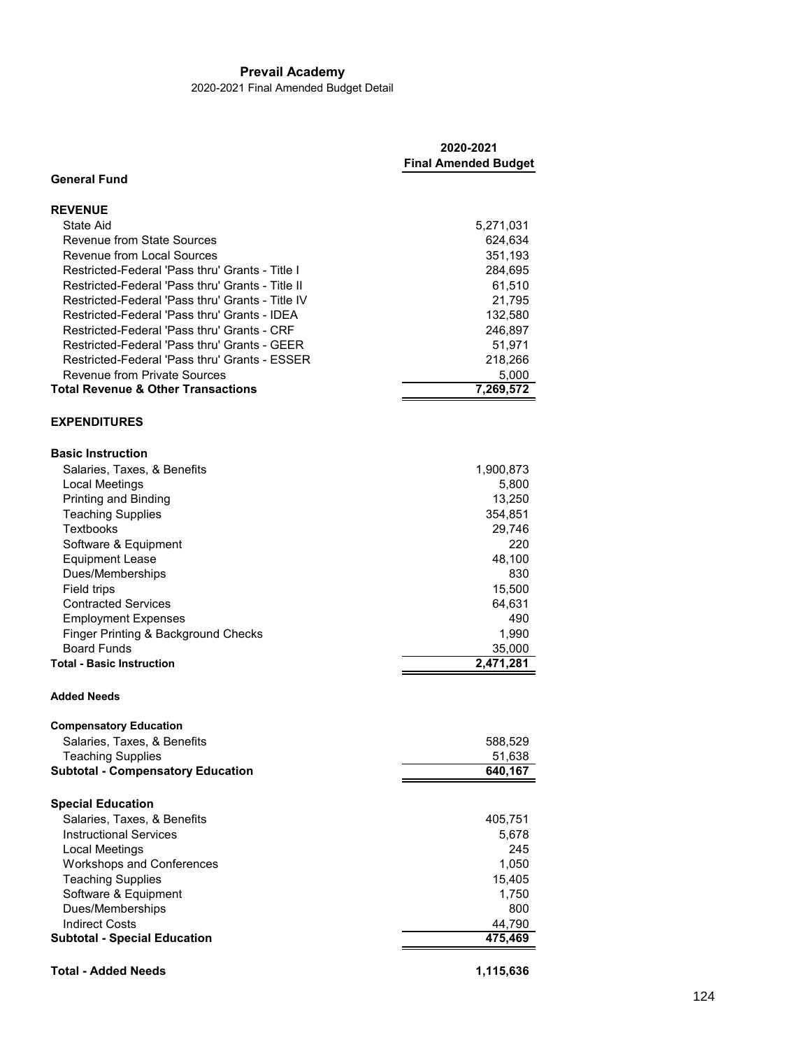# **Prevail Academy**

2020-2021 Final Amended Budget Detail

|                                                  | 2020-2021<br><b>Final Amended Budget</b> |
|--------------------------------------------------|------------------------------------------|
| <b>General Fund</b>                              |                                          |
| <b>REVENUE</b>                                   |                                          |
| <b>State Aid</b>                                 | 5,271,031                                |
| Revenue from State Sources                       | 624,634                                  |
| <b>Revenue from Local Sources</b>                | 351,193                                  |
| Restricted-Federal 'Pass thru' Grants - Title I  | 284,695                                  |
| Restricted-Federal 'Pass thru' Grants - Title II | 61,510                                   |
| Restricted-Federal 'Pass thru' Grants - Title IV | 21,795                                   |
| Restricted-Federal 'Pass thru' Grants - IDEA     | 132,580                                  |
| Restricted-Federal 'Pass thru' Grants - CRF      | 246,897                                  |
| Restricted-Federal 'Pass thru' Grants - GEER     | 51,971                                   |
| Restricted-Federal 'Pass thru' Grants - ESSER    | 218,266                                  |
| <b>Revenue from Private Sources</b>              | 5,000                                    |
| <b>Total Revenue &amp; Other Transactions</b>    | 7,269,572                                |
| <b>EXPENDITURES</b>                              |                                          |
| <b>Basic Instruction</b>                         |                                          |
| Salaries, Taxes, & Benefits                      | 1,900,873                                |
| <b>Local Meetings</b>                            | 5,800                                    |
| Printing and Binding                             | 13,250                                   |
| <b>Teaching Supplies</b>                         | 354,851                                  |
| Textbooks                                        | 29,746                                   |
| Software & Equipment                             | 220                                      |
| <b>Equipment Lease</b>                           | 48,100                                   |
| Dues/Memberships                                 | 830                                      |
| Field trips                                      | 15,500                                   |
| <b>Contracted Services</b>                       | 64,631                                   |
| <b>Employment Expenses</b>                       | 490                                      |
| Finger Printing & Background Checks              | 1,990                                    |
| <b>Board Funds</b>                               | 35,000                                   |
| <b>Total - Basic Instruction</b>                 | 2,471,281                                |
| <b>Added Needs</b>                               |                                          |
| <b>Compensatory Education</b>                    |                                          |
| Salaries, Taxes, & Benefits                      | 588,529                                  |
| <b>Teaching Supplies</b>                         | 51,638                                   |
| <b>Subtotal - Compensatory Education</b>         | 640,167                                  |
| <b>Special Education</b>                         |                                          |
| Salaries, Taxes, & Benefits                      | 405,751                                  |
| <b>Instructional Services</b>                    | 5,678                                    |
| <b>Local Meetings</b>                            | 245                                      |
| Workshops and Conferences                        | 1,050                                    |
| <b>Teaching Supplies</b>                         | 15,405                                   |
| Software & Equipment                             | 1,750                                    |
| Dues/Memberships                                 | 800                                      |
| <b>Indirect Costs</b>                            | 44,790                                   |
| <b>Subtotal - Special Education</b>              | 475,469                                  |
| <b>Total - Added Needs</b>                       | 1,115,636                                |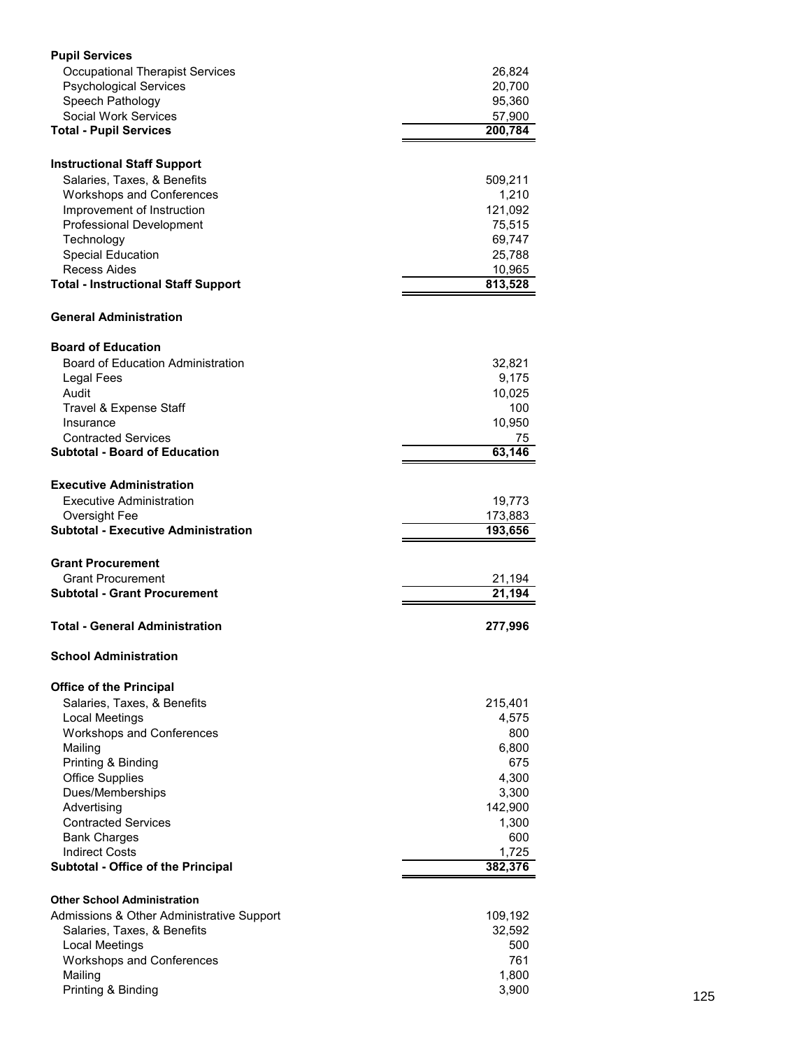| <b>Pupil Services</b>                           |                     |     |
|-------------------------------------------------|---------------------|-----|
| <b>Occupational Therapist Services</b>          | 26,824              |     |
| <b>Psychological Services</b>                   | 20,700              |     |
| Speech Pathology                                | 95,360              |     |
| Social Work Services                            | 57,900              |     |
| <b>Total - Pupil Services</b>                   | 200,784             |     |
|                                                 |                     |     |
| <b>Instructional Staff Support</b>              |                     |     |
| Salaries, Taxes, & Benefits                     | 509,211             |     |
| <b>Workshops and Conferences</b>                | 1,210               |     |
| Improvement of Instruction                      | 121,092             |     |
| Professional Development                        | 75,515              |     |
| Technology                                      | 69,747              |     |
| <b>Special Education</b><br><b>Recess Aides</b> | 25,788<br>10,965    |     |
| <b>Total - Instructional Staff Support</b>      | 813,528             |     |
|                                                 |                     |     |
| <b>General Administration</b>                   |                     |     |
| <b>Board of Education</b>                       |                     |     |
| Board of Education Administration               | 32,821              |     |
| Legal Fees                                      | 9,175               |     |
| Audit                                           | 10,025              |     |
| Travel & Expense Staff                          | 100                 |     |
| Insurance                                       | 10,950              |     |
| <b>Contracted Services</b>                      | 75                  |     |
| <b>Subtotal - Board of Education</b>            | 63,146              |     |
| <b>Executive Administration</b>                 |                     |     |
| <b>Executive Administration</b>                 | 19,773              |     |
| Oversight Fee                                   | 173,883             |     |
| <b>Subtotal - Executive Administration</b>      | 193,656             |     |
|                                                 |                     |     |
| <b>Grant Procurement</b>                        |                     |     |
| <b>Grant Procurement</b>                        | 21,194              |     |
| <b>Subtotal - Grant Procurement</b>             | $\overline{21,194}$ |     |
| <b>Total - General Administration</b>           | 277,996             |     |
| <b>School Administration</b>                    |                     |     |
| <b>Office of the Principal</b>                  |                     |     |
| Salaries, Taxes, & Benefits                     | 215,401             |     |
| Local Meetings                                  | 4,575               |     |
| <b>Workshops and Conferences</b>                | 800                 |     |
| Mailing                                         | 6,800               |     |
| Printing & Binding                              | 675                 |     |
| <b>Office Supplies</b>                          | 4,300               |     |
| Dues/Memberships                                | 3,300               |     |
| Advertising                                     | 142,900             |     |
| <b>Contracted Services</b>                      | 1,300               |     |
| <b>Bank Charges</b>                             | 600                 |     |
| <b>Indirect Costs</b>                           | 1,725               |     |
| Subtotal - Office of the Principal              | 382,376             |     |
| <b>Other School Administration</b>              |                     |     |
| Admissions & Other Administrative Support       | 109,192             |     |
| Salaries, Taxes, & Benefits                     | 32,592              |     |
| <b>Local Meetings</b>                           | 500                 |     |
| Workshops and Conferences                       | 761                 |     |
| Mailing                                         | 1,800               |     |
| Printing & Binding                              | 3,900               | 125 |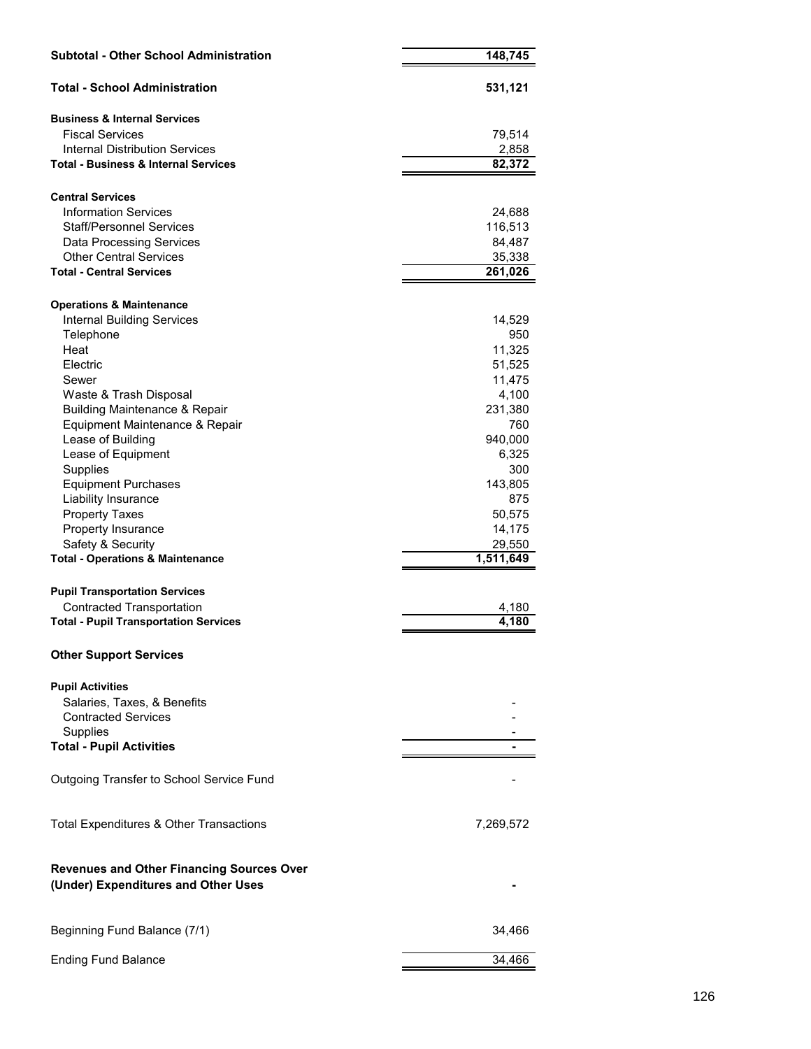| <b>Subtotal - Other School Administration</b>                                           | 148,745             |
|-----------------------------------------------------------------------------------------|---------------------|
| <b>Total - School Administration</b>                                                    | 531,121             |
| <b>Business &amp; Internal Services</b>                                                 |                     |
| <b>Fiscal Services</b>                                                                  | 79,514              |
| Internal Distribution Services                                                          | 2,858               |
| <b>Total - Business &amp; Internal Services</b>                                         | 82,372              |
| <b>Central Services</b>                                                                 |                     |
| <b>Information Services</b>                                                             | 24,688              |
| <b>Staff/Personnel Services</b>                                                         | 116,513             |
| <b>Data Processing Services</b>                                                         | 84,487              |
| <b>Other Central Services</b>                                                           | 35,338              |
| <b>Total - Central Services</b>                                                         | 261,026             |
| <b>Operations &amp; Maintenance</b>                                                     |                     |
| <b>Internal Building Services</b>                                                       | 14,529              |
| Telephone                                                                               | 950                 |
| Heat                                                                                    | 11,325              |
| Electric                                                                                | 51,525              |
| Sewer                                                                                   | 11,475              |
| Waste & Trash Disposal                                                                  | 4,100               |
| <b>Building Maintenance &amp; Repair</b>                                                | 231,380             |
| Equipment Maintenance & Repair                                                          | 760                 |
| Lease of Building                                                                       | 940,000             |
| Lease of Equipment                                                                      | 6,325               |
| Supplies                                                                                | 300                 |
| <b>Equipment Purchases</b>                                                              | 143,805             |
| Liability Insurance                                                                     | 875                 |
| <b>Property Taxes</b>                                                                   | 50,575              |
| Property Insurance                                                                      | 14,175              |
| Safety & Security<br><b>Total - Operations &amp; Maintenance</b>                        | 29,550<br>1,511,649 |
|                                                                                         |                     |
| <b>Pupil Transportation Services</b>                                                    |                     |
| <b>Contracted Transportation</b>                                                        | 4,180               |
| <b>Total - Pupil Transportation Services</b>                                            | 4,180               |
| <b>Other Support Services</b>                                                           |                     |
| <b>Pupil Activities</b>                                                                 |                     |
| Salaries, Taxes, & Benefits                                                             |                     |
| <b>Contracted Services</b>                                                              |                     |
| Supplies                                                                                |                     |
| <b>Total - Pupil Activities</b>                                                         |                     |
| Outgoing Transfer to School Service Fund                                                |                     |
| Total Expenditures & Other Transactions                                                 | 7,269,572           |
|                                                                                         |                     |
| <b>Revenues and Other Financing Sources Over</b><br>(Under) Expenditures and Other Uses |                     |
| Beginning Fund Balance (7/1)                                                            | 34,466              |
| <b>Ending Fund Balance</b>                                                              | 34,466              |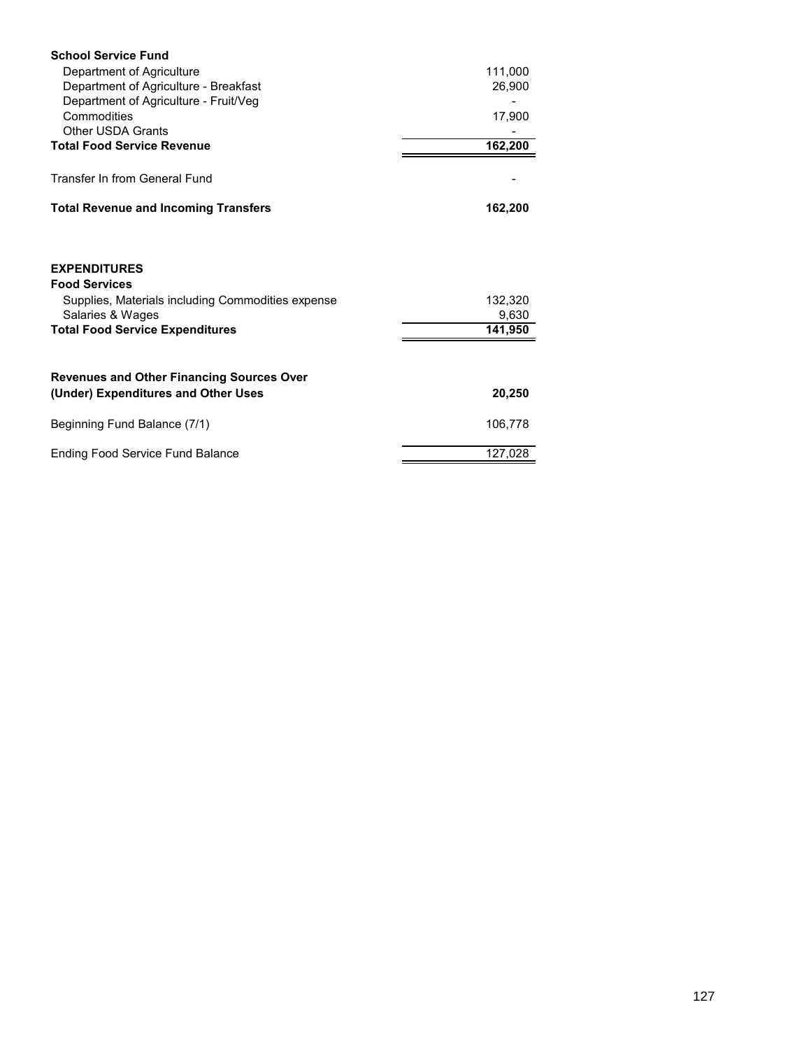| <b>School Service Fund</b>                        |         |
|---------------------------------------------------|---------|
| Department of Agriculture                         | 111,000 |
| Department of Agriculture - Breakfast             | 26,900  |
| Department of Agriculture - Fruit/Veg             |         |
| Commodities                                       | 17,900  |
| <b>Other USDA Grants</b>                          |         |
| <b>Total Food Service Revenue</b>                 | 162,200 |
| Transfer In from General Fund                     |         |
| <b>Total Revenue and Incoming Transfers</b>       | 162,200 |
| <b>EXPENDITURES</b><br><b>Food Services</b>       |         |
| Supplies, Materials including Commodities expense | 132,320 |
| Salaries & Wages                                  | 9,630   |
| <b>Total Food Service Expenditures</b>            | 141,950 |
|                                                   |         |
| <b>Revenues and Other Financing Sources Over</b>  |         |
| (Under) Expenditures and Other Uses               | 20,250  |
| Beginning Fund Balance (7/1)                      | 106,778 |
| <b>Ending Food Service Fund Balance</b>           | 127,028 |